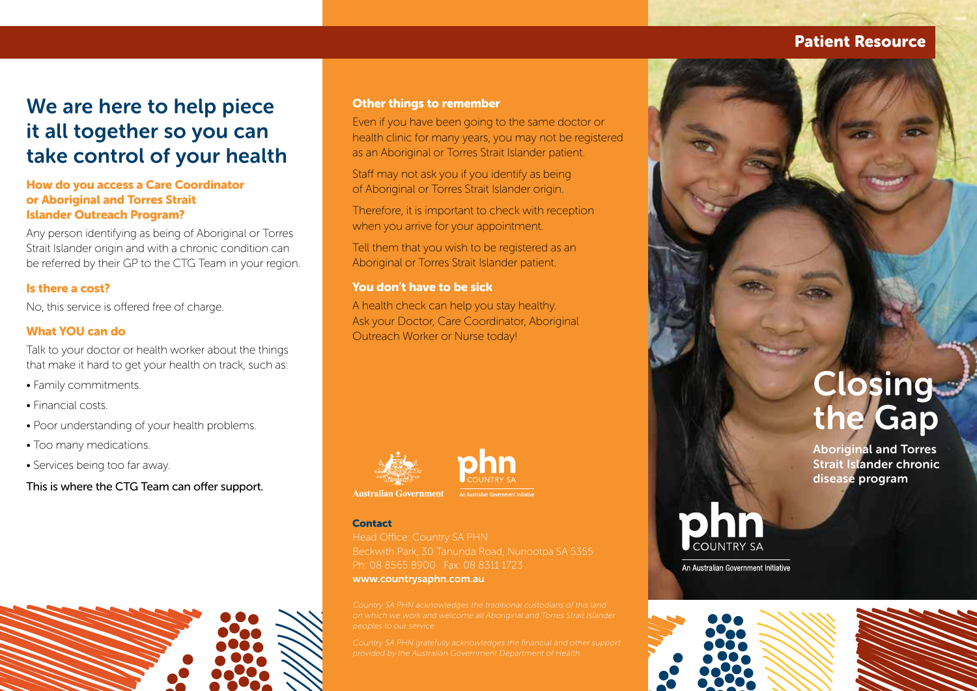## Patient Resource

# We are here to help piece it all together so you can take control of your health

## How do you access a Care Coordinator or Aboriginal and Torres Strait Islander Outreach Program?

Any person identifying as being of Aboriginal or Torres Strait Islander origin and with a chronic condition can be referred by their GP to the CTG Team in your region.

## Is there a cost?

No, this service is offered free of charge.

### What YOU can do

Talk to your doctor or health worker about the things that make it hard to get your health on track, such as:

- Family commitments.
- Financial costs.
- Poor understanding of your health problems.
- Too many medications.
- Services being too far away.

This is where the CTG Team can offer support.

#### Other things to remember

Even if you have been going to the same doctor or health clinic for many years, you may not be registered as an Aboriginal or Torres Strait Islander patient.

Staff may not ask you if you identify as being of Aboriginal or Torres Strait Islander origin.

Therefore, it is important to check with reception when you arrive for your appointment.

Tell them that you wish to be registered as an Aboriginal or Torres Strait Islander patient.

### You don't have to be sick

A health check can help you stay healthy. Ask your Doctor, Care Coordinator, Aboriginal Outreach Worker or Nurse today!





**Australian Government** 

#### **Contact**

Ph: 08 8565 8900 Fax: 08 8311 1723 www.countrysaphn.com.au

**Closing** the Gap

Aboriginal and Torres Strait Islander chronic disease program



An Australian Government Initiative